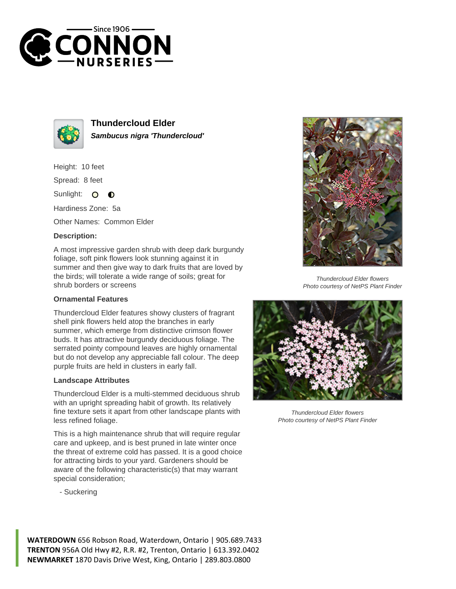



**Thundercloud Elder Sambucus nigra 'Thundercloud'**

Height: 10 feet

Spread: 8 feet

Sunlight: 0  $\bullet$ 

Hardiness Zone: 5a

Other Names: Common Elder

## **Description:**

A most impressive garden shrub with deep dark burgundy foliage, soft pink flowers look stunning against it in summer and then give way to dark fruits that are loved by the birds; will tolerate a wide range of soils; great for shrub borders or screens

## **Ornamental Features**

Thundercloud Elder features showy clusters of fragrant shell pink flowers held atop the branches in early summer, which emerge from distinctive crimson flower buds. It has attractive burgundy deciduous foliage. The serrated pointy compound leaves are highly ornamental but do not develop any appreciable fall colour. The deep purple fruits are held in clusters in early fall.

## **Landscape Attributes**

Thundercloud Elder is a multi-stemmed deciduous shrub with an upright spreading habit of growth. Its relatively fine texture sets it apart from other landscape plants with less refined foliage.

This is a high maintenance shrub that will require regular care and upkeep, and is best pruned in late winter once the threat of extreme cold has passed. It is a good choice for attracting birds to your yard. Gardeners should be aware of the following characteristic(s) that may warrant special consideration;

- Suckering



Thundercloud Elder flowers Photo courtesy of NetPS Plant Finder



Thundercloud Elder flowers Photo courtesy of NetPS Plant Finder

**WATERDOWN** 656 Robson Road, Waterdown, Ontario | 905.689.7433 **TRENTON** 956A Old Hwy #2, R.R. #2, Trenton, Ontario | 613.392.0402 **NEWMARKET** 1870 Davis Drive West, King, Ontario | 289.803.0800